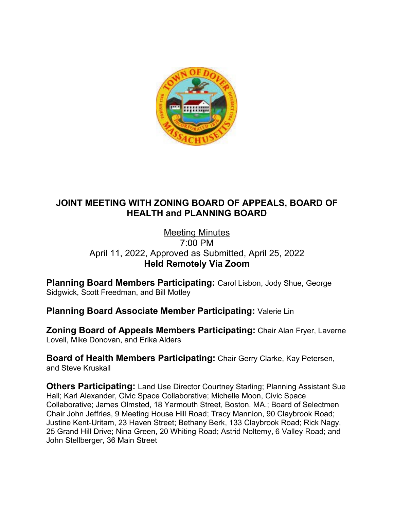

# **JOINT MEETING WITH ZONING BOARD OF APPEALS, BOARD OF HEALTH and PLANNING BOARD**

#### Meeting Minutes 7:00 PM April 11, 2022, Approved as Submitted, April 25, 2022 **Held Remotely Via Zoom**

**Planning Board Members Participating:** Carol Lisbon, Jody Shue, George Sidgwick, Scott Freedman, and Bill Motley

**Planning Board Associate Member Participating:** Valerie Lin

**Zoning Board of Appeals Members Participating:** Chair Alan Fryer, Laverne Lovell, Mike Donovan, and Erika Alders

**Board of Health Members Participating:** Chair Gerry Clarke, Kay Petersen, and Steve Kruskall

**Others Participating:** Land Use Director Courtney Starling; Planning Assistant Sue Hall; Karl Alexander, Civic Space Collaborative; Michelle Moon, Civic Space Collaborative; James Olmsted, 18 Yarmouth Street, Boston, MA.; Board of Selectmen Chair John Jeffries, 9 Meeting House Hill Road; Tracy Mannion, 90 Claybrook Road; Justine Kent-Uritam, 23 Haven Street; Bethany Berk, 133 Claybrook Road; Rick Nagy, 25 Grand Hill Drive; Nina Green, 20 Whiting Road; Astrid Noltemy, 6 Valley Road; and John Stellberger, 36 Main Street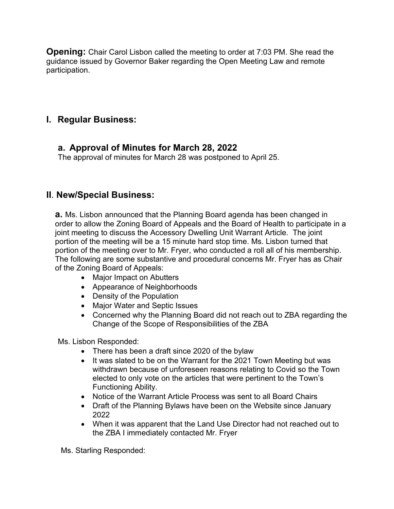**Opening:** Chair Carol Lisbon called the meeting to order at 7:03 PM. She read the guidance issued by Governor Baker regarding the Open Meeting Law and remote participation.

# **I. Regular Business:**

## **a. Approval of Minutes for March 28, 2022**

The approval of minutes for March 28 was postponed to April 25.

# **II**. **New/Special Business:**

**a.** Ms. Lisbon announced that the Planning Board agenda has been changed in order to allow the Zoning Board of Appeals and the Board of Health to participate in a joint meeting to discuss the Accessory Dwelling Unit Warrant Article. The joint portion of the meeting will be a 15 minute hard stop time. Ms. Lisbon turned that portion of the meeting over to Mr. Fryer, who conducted a roll all of his membership. The following are some substantive and procedural concerns Mr. Fryer has as Chair of the Zoning Board of Appeals:

- Major Impact on Abutters
- Appearance of Neighborhoods
- Density of the Population
- Major Water and Septic Issues
- Concerned why the Planning Board did not reach out to ZBA regarding the Change of the Scope of Responsibilities of the ZBA

Ms. Lisbon Responded:

- There has been a draft since 2020 of the bylaw
- It was slated to be on the Warrant for the 2021 Town Meeting but was withdrawn because of unforeseen reasons relating to Covid so the Town elected to only vote on the articles that were pertinent to the Town's Functioning Ability.
- Notice of the Warrant Article Process was sent to all Board Chairs
- Draft of the Planning Bylaws have been on the Website since January 2022
- When it was apparent that the Land Use Director had not reached out to the ZBA I immediately contacted Mr. Fryer

Ms. Starling Responded: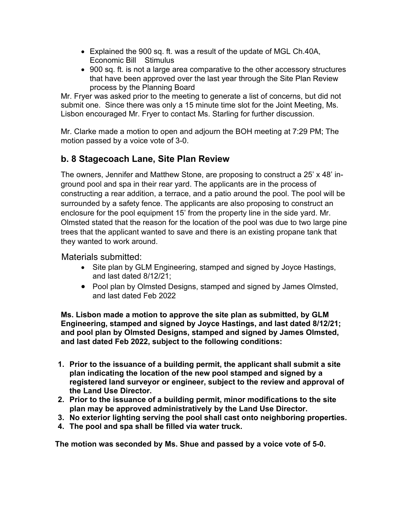- Explained the 900 sq. ft. was a result of the update of MGL Ch.40A, Economic Bill Stimulus
- 900 sq. ft. is not a large area comparative to the other accessory structures that have been approved over the last year through the Site Plan Review process by the Planning Board

Mr. Fryer was asked prior to the meeting to generate a list of concerns, but did not submit one. Since there was only a 15 minute time slot for the Joint Meeting, Ms. Lisbon encouraged Mr. Fryer to contact Ms. Starling for further discussion.

Mr. Clarke made a motion to open and adjourn the BOH meeting at 7:29 PM; The motion passed by a voice vote of 3-0.

# **b. 8 Stagecoach Lane, Site Plan Review**

The owners, Jennifer and Matthew Stone, are proposing to construct a 25' x 48' inground pool and spa in their rear yard. The applicants are in the process of constructing a rear addition, a terrace, and a patio around the pool. The pool will be surrounded by a safety fence. The applicants are also proposing to construct an enclosure for the pool equipment 15' from the property line in the side yard. Mr. Olmsted stated that the reason for the location of the pool was due to two large pine trees that the applicant wanted to save and there is an existing propane tank that they wanted to work around.

#### Materials submitted:

- Site plan by GLM Engineering, stamped and signed by Joyce Hastings, and last dated 8/12/21;
- Pool plan by Olmsted Designs, stamped and signed by James Olmsted, and last dated Feb 2022

**Ms. Lisbon made a motion to approve the site plan as submitted, by GLM Engineering, stamped and signed by Joyce Hastings, and last dated 8/12/21; and pool plan by Olmsted Designs, stamped and signed by James Olmsted, and last dated Feb 2022, subject to the following conditions:**

- **1. Prior to the issuance of a building permit, the applicant shall submit a site plan indicating the location of the new pool stamped and signed by a registered land surveyor or engineer, subject to the review and approval of the Land Use Director.**
- **2. Prior to the issuance of a building permit, minor modifications to the site plan may be approved administratively by the Land Use Director.**
- **3. No exterior lighting serving the pool shall cast onto neighboring properties.**
- **4. The pool and spa shall be filled via water truck.**

**The motion was seconded by Ms. Shue and passed by a voice vote of 5-0.**